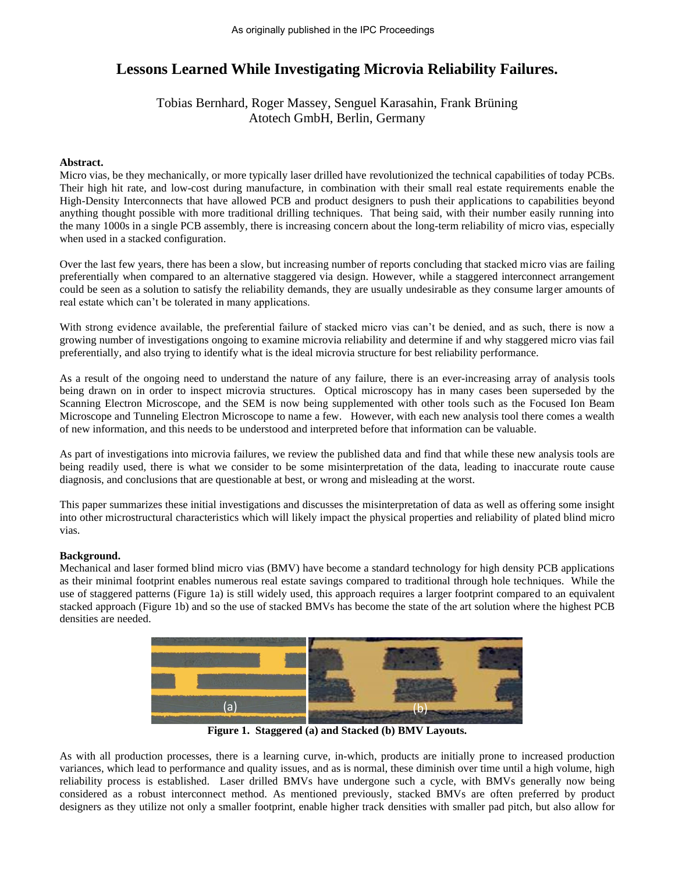# **Lessons Learned While Investigating Microvia Reliability Failures.**

## Tobias Bernhard, Roger Massey, Senguel Karasahin, Frank Brüning Atotech GmbH, Berlin, Germany

### **Abstract.**

Micro vias, be they mechanically, or more typically laser drilled have revolutionized the technical capabilities of today PCBs. Their high hit rate, and low-cost during manufacture, in combination with their small real estate requirements enable the High-Density Interconnects that have allowed PCB and product designers to push their applications to capabilities beyond anything thought possible with more traditional drilling techniques. That being said, with their number easily running into the many 1000s in a single PCB assembly, there is increasing concern about the long-term reliability of micro vias, especially when used in a stacked configuration.

Over the last few years, there has been a slow, but increasing number of reports concluding that stacked micro vias are failing preferentially when compared to an alternative staggered via design. However, while a staggered interconnect arrangement could be seen as a solution to satisfy the reliability demands, they are usually undesirable as they consume larger amounts of real estate which can't be tolerated in many applications.

With strong evidence available, the preferential failure of stacked micro vias can't be denied, and as such, there is now a growing number of investigations ongoing to examine microvia reliability and determine if and why staggered micro vias fail preferentially, and also trying to identify what is the ideal microvia structure for best reliability performance.

As a result of the ongoing need to understand the nature of any failure, there is an ever-increasing array of analysis tools being drawn on in order to inspect microvia structures. Optical microscopy has in many cases been superseded by the Scanning Electron Microscope, and the SEM is now being supplemented with other tools such as the Focused Ion Beam Microscope and Tunneling Electron Microscope to name a few. However, with each new analysis tool there comes a wealth of new information, and this needs to be understood and interpreted before that information can be valuable.

As part of investigations into microvia failures, we review the published data and find that while these new analysis tools are being readily used, there is what we consider to be some misinterpretation of the data, leading to inaccurate route cause diagnosis, and conclusions that are questionable at best, or wrong and misleading at the worst.

This paper summarizes these initial investigations and discusses the misinterpretation of data as well as offering some insight into other microstructural characteristics which will likely impact the physical properties and reliability of plated blind micro vias.

#### **Background.**

Mechanical and laser formed blind micro vias (BMV) have become a standard technology for high density PCB applications as their minimal footprint enables numerous real estate savings compared to traditional through hole techniques. While the use of staggered patterns (Figure 1a) is still widely used, this approach requires a larger footprint compared to an equivalent stacked approach (Figure 1b) and so the use of stacked BMVs has become the state of the art solution where the highest PCB densities are needed.



**Figure 1. Staggered (a) and Stacked (b) BMV Layouts.**

As with all production processes, there is a learning curve, in-which, products are initially prone to increased production variances, which lead to performance and quality issues, and as is normal, these diminish over time until a high volume, high reliability process is established. Laser drilled BMVs have undergone such a cycle, with BMVs generally now being considered as a robust interconnect method. As mentioned previously, stacked BMVs are often preferred by product designers as they utilize not only a smaller footprint, enable higher track densities with smaller pad pitch, but also allow for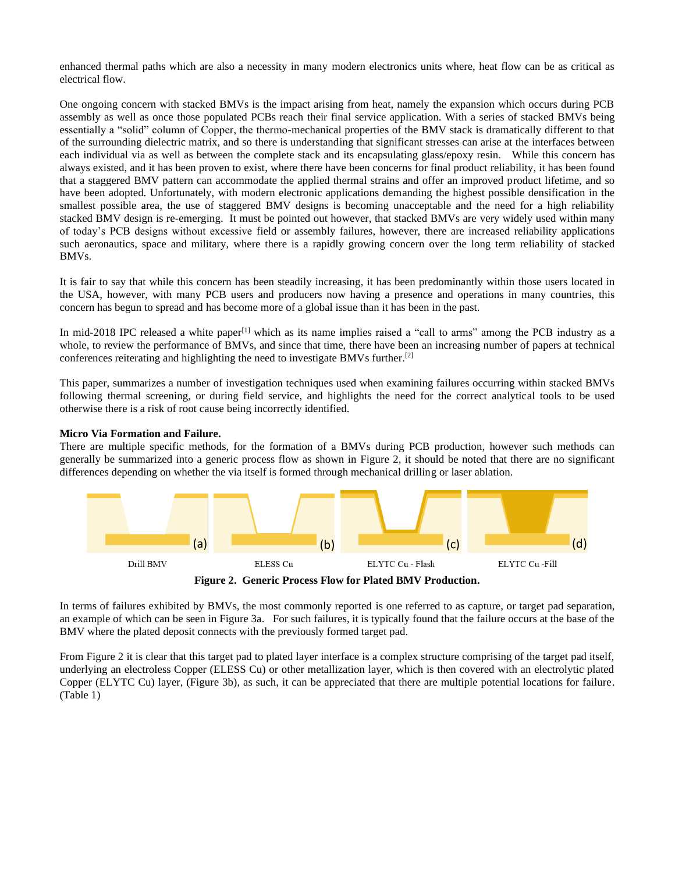enhanced thermal paths which are also a necessity in many modern electronics units where, heat flow can be as critical as electrical flow.

One ongoing concern with stacked BMVs is the impact arising from heat, namely the expansion which occurs during PCB assembly as well as once those populated PCBs reach their final service application. With a series of stacked BMVs being essentially a "solid" column of Copper, the thermo-mechanical properties of the BMV stack is dramatically different to that of the surrounding dielectric matrix, and so there is understanding that significant stresses can arise at the interfaces between each individual via as well as between the complete stack and its encapsulating glass/epoxy resin. While this concern has always existed, and it has been proven to exist, where there have been concerns for final product reliability, it has been found that a staggered BMV pattern can accommodate the applied thermal strains and offer an improved product lifetime, and so have been adopted. Unfortunately, with modern electronic applications demanding the highest possible densification in the smallest possible area, the use of staggered BMV designs is becoming unacceptable and the need for a high reliability stacked BMV design is re-emerging. It must be pointed out however, that stacked BMVs are very widely used within many of today's PCB designs without excessive field or assembly failures, however, there are increased reliability applications such aeronautics, space and military, where there is a rapidly growing concern over the long term reliability of stacked BMVs.

It is fair to say that while this concern has been steadily increasing, it has been predominantly within those users located in the USA, however, with many PCB users and producers now having a presence and operations in many countries, this concern has begun to spread and has become more of a global issue than it has been in the past.

In mid-2018 IPC released a white paper<sup>[1]</sup> which as its name implies raised a "call to arms" among the PCB industry as a whole, to review the performance of BMVs, and since that time, there have been an increasing number of papers at technical conferences reiterating and highlighting the need to investigate BMVs further. [2]

This paper, summarizes a number of investigation techniques used when examining failures occurring within stacked BMVs following thermal screening, or during field service, and highlights the need for the correct analytical tools to be used otherwise there is a risk of root cause being incorrectly identified.

**Micro Via Formation and Failure.**

There are multiple specific methods, for the formation of a BMVs during PCB production, however such methods can generally be summarized into a generic process flow as shown in Figure 2, it should be noted that there are no significant differences depending on whether the via itself is formed through mechanical drilling or laser ablation.



**Figure 2. Generic Process Flow for Plated BMV Production.**

In terms of failures exhibited by BMVs, the most commonly reported is one referred to as capture, or target pad separation, an example of which can be seen in Figure 3a. For such failures, it is typically found that the failure occurs at the base of the BMV where the plated deposit connects with the previously formed target pad.

From Figure 2 it is clear that this target pad to plated layer interface is a complex structure comprising of the target pad itself, underlying an electroless Copper (ELESS Cu) or other metallization layer, which is then covered with an electrolytic plated Copper (ELYTC Cu) layer, (Figure 3b), as such, it can be appreciated that there are multiple potential locations for failure. (Table 1)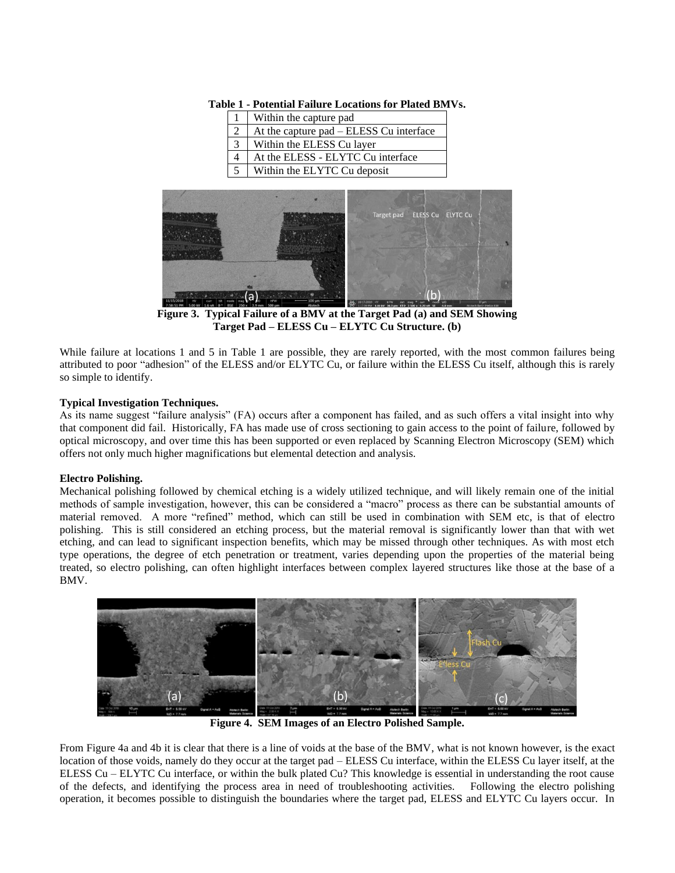|                | Within the capture pad                  |
|----------------|-----------------------------------------|
| $\cdot$ 2      | At the capture pad – ELESS Cu interface |
| 3 <sup>1</sup> | Within the ELESS Cu layer               |
|                | At the ELESS - ELYTC Cu interface       |
| 5 <sup>5</sup> | Within the ELYTC Cu deposit             |

**Table 1 - Potential Failure Locations for Plated BMVs.**



**Figure 3. Typical Failure of a BMV at the Target Pad (a) and SEM Showing Target Pad – ELESS Cu – ELYTC Cu Structure. (b)**

While failure at locations 1 and 5 in Table 1 are possible, they are rarely reported, with the most common failures being attributed to poor "adhesion" of the ELESS and/or ELYTC Cu, or failure within the ELESS Cu itself, although this is rarely so simple to identify.

## **Typical Investigation Techniques.**

As its name suggest "failure analysis" (FA) occurs after a component has failed, and as such offers a vital insight into why that component did fail. Historically, FA has made use of cross sectioning to gain access to the point of failure, followed by optical microscopy, and over time this has been supported or even replaced by Scanning Electron Microscopy (SEM) which offers not only much higher magnifications but elemental detection and analysis.

## **Electro Polishing.**

Mechanical polishing followed by chemical etching is a widely utilized technique, and will likely remain one of the initial methods of sample investigation, however, this can be considered a "macro" process as there can be substantial amounts of material removed. A more "refined" method, which can still be used in combination with SEM etc, is that of electro polishing. This is still considered an etching process, but the material removal is significantly lower than that with wet etching, and can lead to significant inspection benefits, which may be missed through other techniques. As with most etch type operations, the degree of etch penetration or treatment, varies depending upon the properties of the material being treated, so electro polishing, can often highlight interfaces between complex layered structures like those at the base of a BMV.



**Figure 4. SEM Images of an Electro Polished Sample.**

From Figure 4a and 4b it is clear that there is a line of voids at the base of the BMV, what is not known however, is the exact location of those voids, namely do they occur at the target pad – ELESS Cu interface, within the ELESS Cu layer itself, at the ELESS Cu – ELYTC Cu interface, or within the bulk plated Cu? This knowledge is essential in understanding the root cause of the defects, and identifying the process area in need of troubleshooting activities. Following the electro polishing operation, it becomes possible to distinguish the boundaries where the target pad, ELESS and ELYTC Cu layers occur. In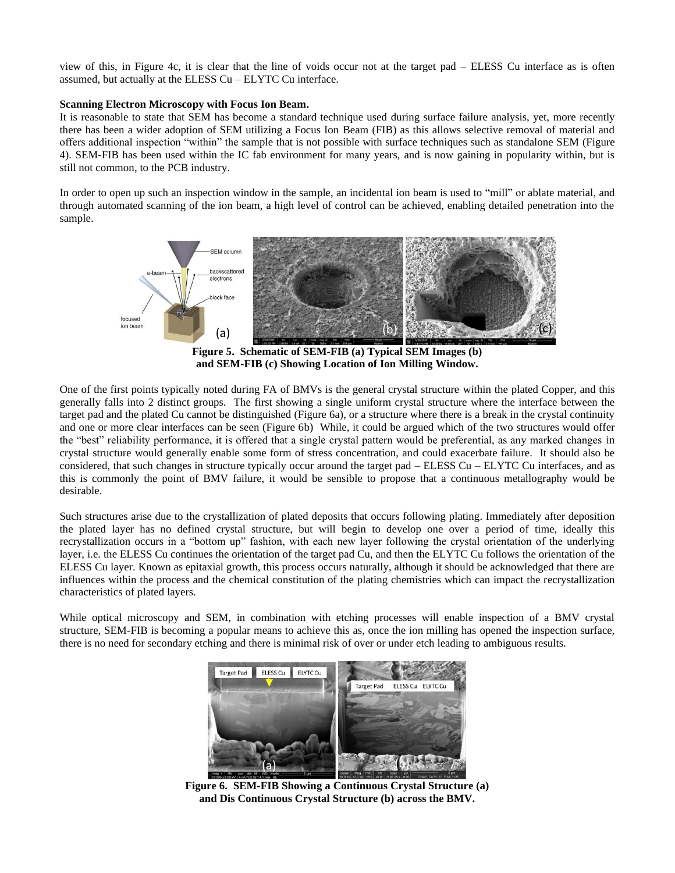view of this, in Figure 4c, it is clear that the line of voids occur not at the target pad – ELESS Cu interface as is often assumed, but actually at the ELESS Cu – ELYTC Cu interface.

#### **Scanning Electron Microscopy with Focus Ion Beam.**

It is reasonable to state that SEM has become a standard technique used during surface failure analysis, yet, more recently there has been a wider adoption of SEM utilizing a Focus Ion Beam (FIB) as this allows selective removal of material and offers additional inspection "within" the sample that is not possible with surface techniques such as standalone SEM (Figure 4). SEM-FIB has been used within the IC fab environment for many years, and is now gaining in popularity within, but is still not common, to the PCB industry.

In order to open up such an inspection window in the sample, an incidental ion beam is used to "mill" or ablate material, and through automated scanning of the ion beam, a high level of control can be achieved, enabling detailed penetration into the sample.



**Figure 5. Schematic of SEM-FIB (a) Typical SEM Images (b) and SEM-FIB (c) Showing Location of Ion Milling Window.**

One of the first points typically noted during FA of BMVs is the general crystal structure within the plated Copper, and this generally falls into 2 distinct groups. The first showing a single uniform crystal structure where the interface between the target pad and the plated Cu cannot be distinguished (Figure 6a), or a structure where there is a break in the crystal continuity and one or more clear interfaces can be seen (Figure 6b) While, it could be argued which of the two structures would offer the "best" reliability performance, it is offered that a single crystal pattern would be preferential, as any marked changes in crystal structure would generally enable some form of stress concentration, and could exacerbate failure. It should also be considered, that such changes in structure typically occur around the target pad – ELESS Cu – ELYTC Cu interfaces, and as this is commonly the point of BMV failure, it would be sensible to propose that a continuous metallography would be desirable.

Such structures arise due to the crystallization of plated deposits that occurs following plating. Immediately after deposition the plated layer has no defined crystal structure, but will begin to develop one over a period of time, ideally this recrystallization occurs in a "bottom up" fashion, with each new layer following the crystal orientation of the underlying layer, i.e. the ELESS Cu continues the orientation of the target pad Cu, and then the ELYTC Cu follows the orientation of the ELESS Cu layer. Known as epitaxial growth, this process occurs naturally, although it should be acknowledged that there are influences within the process and the chemical constitution of the plating chemistries which can impact the recrystallization characteristics of plated layers.

While optical microscopy and SEM, in combination with etching processes will enable inspection of a BMV crystal structure, SEM-FIB is becoming a popular means to achieve this as, once the ion milling has opened the inspection surface, there is no need for secondary etching and there is minimal risk of over or under etch leading to ambiguous results.



**Figure 6. SEM-FIB Showing a Continuous Crystal Structure (a) and Dis Continuous Crystal Structure (b) across the BMV.**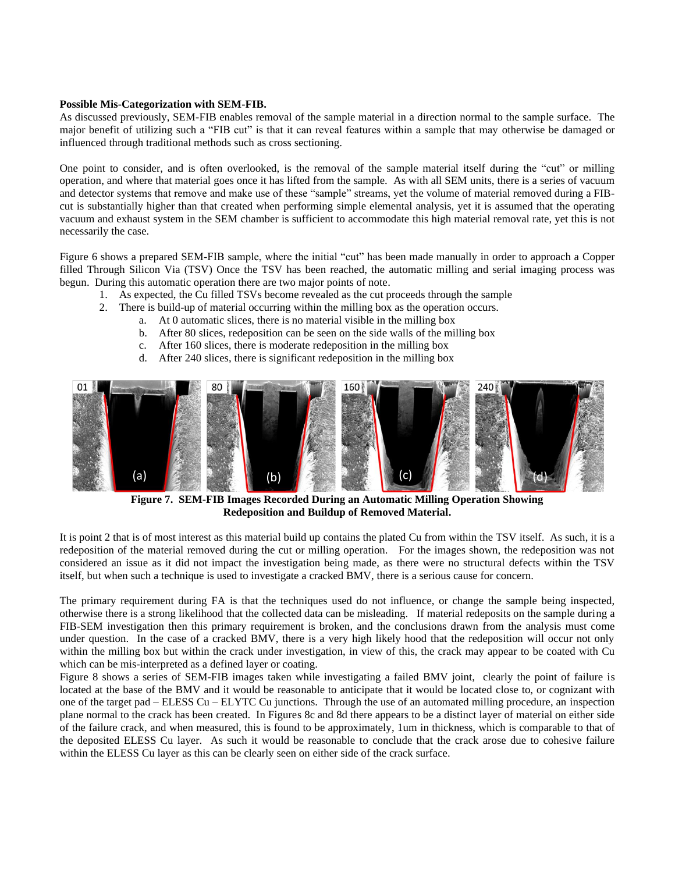#### **Possible Mis-Categorization with SEM-FIB.**

As discussed previously, SEM-FIB enables removal of the sample material in a direction normal to the sample surface. The major benefit of utilizing such a "FIB cut" is that it can reveal features within a sample that may otherwise be damaged or influenced through traditional methods such as cross sectioning.

One point to consider, and is often overlooked, is the removal of the sample material itself during the "cut" or milling operation, and where that material goes once it has lifted from the sample. As with all SEM units, there is a series of vacuum and detector systems that remove and make use of these "sample" streams, yet the volume of material removed during a FIBcut is substantially higher than that created when performing simple elemental analysis, yet it is assumed that the operating vacuum and exhaust system in the SEM chamber is sufficient to accommodate this high material removal rate, yet this is not necessarily the case.

Figure 6 shows a prepared SEM-FIB sample, where the initial "cut" has been made manually in order to approach a Copper filled Through Silicon Via (TSV) Once the TSV has been reached, the automatic milling and serial imaging process was begun. During this automatic operation there are two major points of note.

- 1. As expected, the Cu filled TSVs become revealed as the cut proceeds through the sample
- 2. There is build-up of material occurring within the milling box as the operation occurs.
	- a. At 0 automatic slices, there is no material visible in the milling box
		- b. After 80 slices, redeposition can be seen on the side walls of the milling box
		- c. After 160 slices, there is moderate redeposition in the milling box
		- d. After 240 slices, there is significant redeposition in the milling box



**Figure 7. SEM-FIB Images Recorded During an Automatic Milling Operation Showing Redeposition and Buildup of Removed Material.**

It is point 2 that is of most interest as this material build up contains the plated Cu from within the TSV itself. As such, it is a redeposition of the material removed during the cut or milling operation. For the images shown, the redeposition was not considered an issue as it did not impact the investigation being made, as there were no structural defects within the TSV itself, but when such a technique is used to investigate a cracked BMV, there is a serious cause for concern.

The primary requirement during FA is that the techniques used do not influence, or change the sample being inspected, otherwise there is a strong likelihood that the collected data can be misleading. If material redeposits on the sample during a FIB-SEM investigation then this primary requirement is broken, and the conclusions drawn from the analysis must come under question. In the case of a cracked BMV, there is a very high likely hood that the redeposition will occur not only within the milling box but within the crack under investigation, in view of this, the crack may appear to be coated with Cu which can be mis-interpreted as a defined layer or coating.

Figure 8 shows a series of SEM-FIB images taken while investigating a failed BMV joint, clearly the point of failure is located at the base of the BMV and it would be reasonable to anticipate that it would be located close to, or cognizant with one of the target pad – ELESS Cu – ELYTC Cu junctions. Through the use of an automated milling procedure, an inspection plane normal to the crack has been created. In Figures 8c and 8d there appears to be a distinct layer of material on either side of the failure crack, and when measured, this is found to be approximately, 1um in thickness, which is comparable to that of the deposited ELESS Cu layer. As such it would be reasonable to conclude that the crack arose due to cohesive failure within the ELESS Cu layer as this can be clearly seen on either side of the crack surface.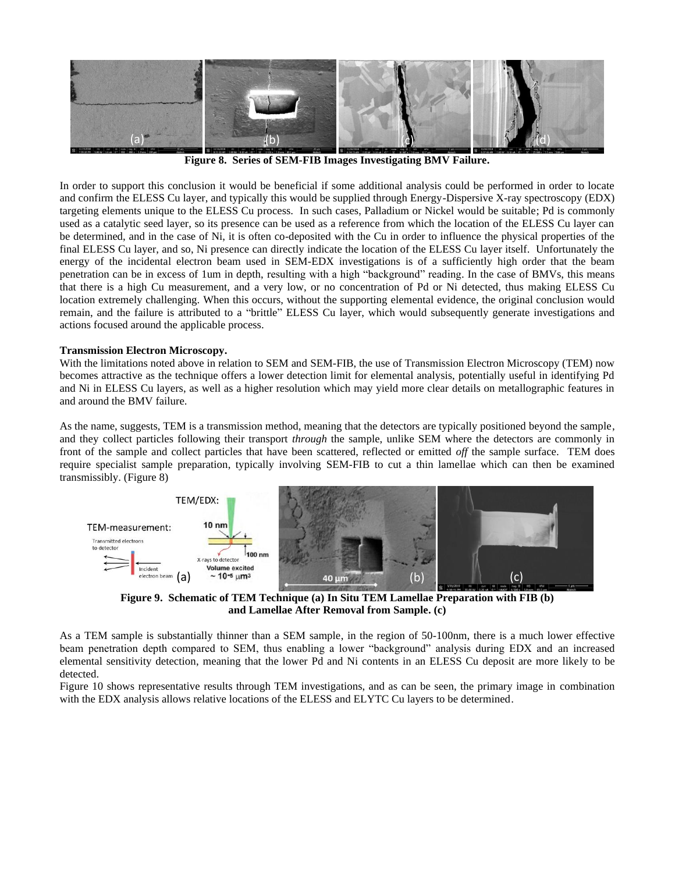

**Figure 8. Series of SEM-FIB Images Investigating BMV Failure.**

In order to support this conclusion it would be beneficial if some additional analysis could be performed in order to locate and confirm the ELESS Cu layer, and typically this would be supplied through Energy-Dispersive X-ray spectroscopy (EDX) targeting elements unique to the ELESS Cu process. In such cases, Palladium or Nickel would be suitable; Pd is commonly used as a catalytic seed layer, so its presence can be used as a reference from which the location of the ELESS Cu layer can be determined, and in the case of Ni, it is often co-deposited with the Cu in order to influence the physical properties of the final ELESS Cu layer, and so, Ni presence can directly indicate the location of the ELESS Cu layer itself. Unfortunately the energy of the incidental electron beam used in SEM-EDX investigations is of a sufficiently high order that the beam penetration can be in excess of 1um in depth, resulting with a high "background" reading. In the case of BMVs, this means that there is a high Cu measurement, and a very low, or no concentration of Pd or Ni detected, thus making ELESS Cu location extremely challenging. When this occurs, without the supporting elemental evidence, the original conclusion would remain, and the failure is attributed to a "brittle" ELESS Cu layer, which would subsequently generate investigations and actions focused around the applicable process.

#### **Transmission Electron Microscopy.**

With the limitations noted above in relation to SEM and SEM-FIB, the use of Transmission Electron Microscopy (TEM) now becomes attractive as the technique offers a lower detection limit for elemental analysis, potentially useful in identifying Pd and Ni in ELESS Cu layers, as well as a higher resolution which may yield more clear details on metallographic features in and around the BMV failure.

As the name, suggests, TEM is a transmission method, meaning that the detectors are typically positioned beyond the sample, and they collect particles following their transport *through* the sample, unlike SEM where the detectors are commonly in front of the sample and collect particles that have been scattered, reflected or emitted *off* the sample surface. TEM does require specialist sample preparation, typically involving SEM-FIB to cut a thin lamellae which can then be examined transmissibly. (Figure 8)



**Figure 9. Schematic of TEM Technique (a) In Situ TEM Lamellae Preparation with FIB (b) and Lamellae After Removal from Sample. (c)**

As a TEM sample is substantially thinner than a SEM sample, in the region of 50-100nm, there is a much lower effective beam penetration depth compared to SEM, thus enabling a lower "background" analysis during EDX and an increased elemental sensitivity detection, meaning that the lower Pd and Ni contents in an ELESS Cu deposit are more likely to be detected.

Figure 10 shows representative results through TEM investigations, and as can be seen, the primary image in combination with the EDX analysis allows relative locations of the ELESS and ELYTC Cu layers to be determined.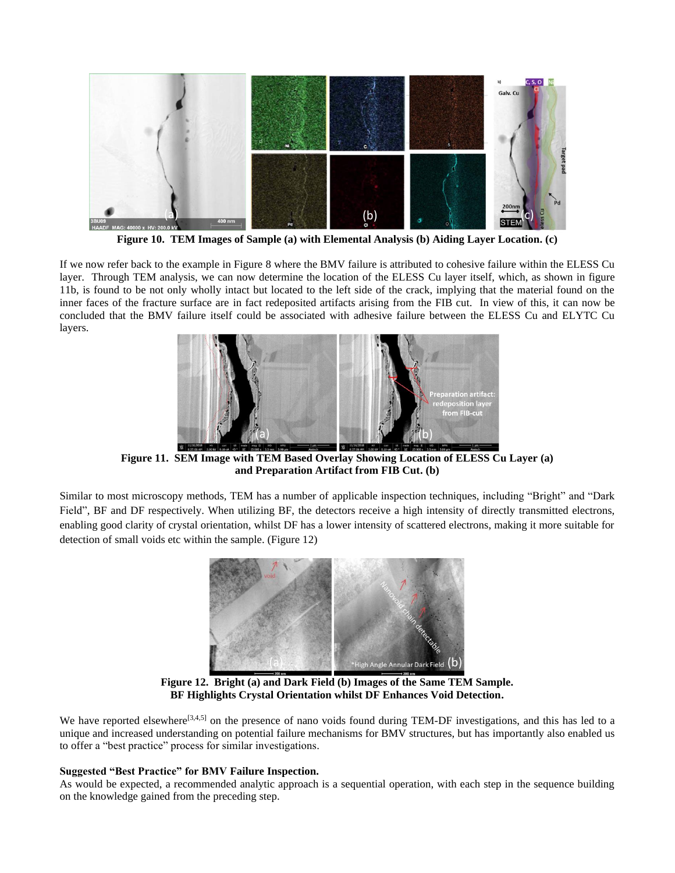

**Figure 10. TEM Images of Sample (a) with Elemental Analysis (b) Aiding Layer Location. (c)**

If we now refer back to the example in Figure 8 where the BMV failure is attributed to cohesive failure within the ELESS Cu layer. Through TEM analysis, we can now determine the location of the ELESS Cu layer itself, which, as shown in figure 11b, is found to be not only wholly intact but located to the left side of the crack, implying that the material found on the inner faces of the fracture surface are in fact redeposited artifacts arising from the FIB cut. In view of this, it can now be concluded that the BMV failure itself could be associated with adhesive failure between the ELESS Cu and ELYTC Cu layers.



**Figure 11. SEM Image with TEM Based Overlay Showing Location of ELESS Cu Layer (a) and Preparation Artifact from FIB Cut. (b)**

Similar to most microscopy methods, TEM has a number of applicable inspection techniques, including "Bright" and "Dark Field", BF and DF respectively. When utilizing BF, the detectors receive a high intensity of directly transmitted electrons, enabling good clarity of crystal orientation, whilst DF has a lower intensity of scattered electrons, making it more suitable for detection of small voids etc within the sample. (Figure 12)



**Figure 12. Bright (a) and Dark Field (b) Images of the Same TEM Sample. BF Highlights Crystal Orientation whilst DF Enhances Void Detection.**

We have reported elsewhere<sup>[3,4,5]</sup> on the presence of nano voids found during TEM-DF investigations, and this has led to a unique and increased understanding on potential failure mechanisms for BMV structures, but has importantly also enabled us to offer a "best practice" process for similar investigations.

#### **Suggested "Best Practice" for BMV Failure Inspection.**

As would be expected, a recommended analytic approach is a sequential operation, with each step in the sequence building on the knowledge gained from the preceding step.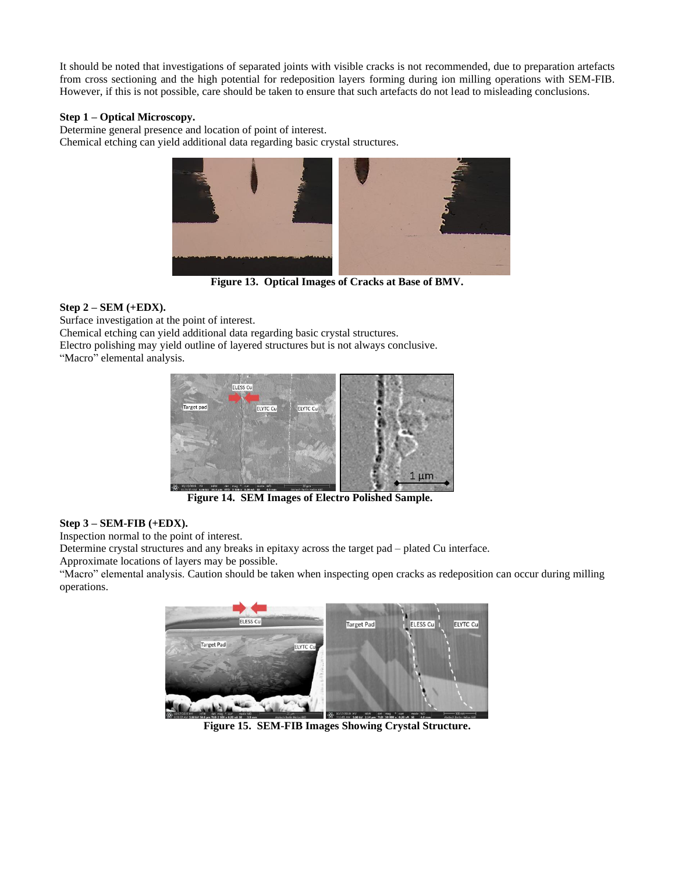It should be noted that investigations of separated joints with visible cracks is not recommended, due to preparation artefacts from cross sectioning and the high potential for redeposition layers forming during ion milling operations with SEM-FIB. However, if this is not possible, care should be taken to ensure that such artefacts do not lead to misleading conclusions.

#### **Step 1 – Optical Microscopy.**

Determine general presence and location of point of interest. Chemical etching can yield additional data regarding basic crystal structures.



**Figure 13. Optical Images of Cracks at Base of BMV.**

## **Step 2 – SEM (+EDX).**

Surface investigation at the point of interest.

Chemical etching can yield additional data regarding basic crystal structures.

Electro polishing may yield outline of layered structures but is not always conclusive. "Macro" elemental analysis.



**Figure 14. SEM Images of Electro Polished Sample.**

#### **Step 3 – SEM-FIB (+EDX).**

Inspection normal to the point of interest.

Determine crystal structures and any breaks in epitaxy across the target pad – plated Cu interface.

Approximate locations of layers may be possible.

"Macro" elemental analysis. Caution should be taken when inspecting open cracks as redeposition can occur during milling operations.



**Figure 15. SEM-FIB Images Showing Crystal Structure.**